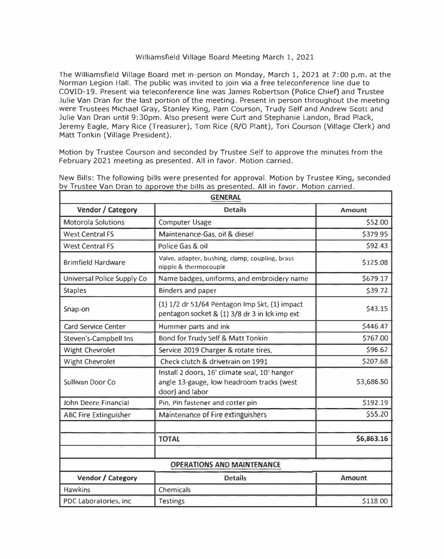## Williamsfield Village Board Meeting March 1, 2021

The Williamsfield Village Board met in-person on Monday, March 1, 2021 at 7:00 p.m. at the Norman Legion Hall. The public was invited to join via a free teleconference line due to COVID-19. Present via teleconference line was James Robertson {Police Chief) and Trustee Julie Van Oran for the last portion of the meeting. Present in person throughout the meeting were Trustees Michael Gray, Stanley King, Pam Courson, Trudy Self and Andrew Scott and Julie Van Dran until 9:30pm. Also present were Curt and Stephanie Landon, Brad Plack, Jeremy Eagle, Mary Rice (Treasurer), Tom Rice (R/0 Plant), Tori Courson (Village Clerk) and Matt Tonkin (Village President).

Motion by Trustee Courson and seconded by Trustee Self to approve the minutes from the February 2021 meeting as presented. All in favor. Motion carried.

| <b>GENERAL</b>                    |                                                                                                               |               |  |  |
|-----------------------------------|---------------------------------------------------------------------------------------------------------------|---------------|--|--|
| Vendor / Category                 | <b>Details</b>                                                                                                | <b>Amount</b> |  |  |
| <b>Motorola Solutions</b>         | <b>Computer Usage</b>                                                                                         | \$52.00       |  |  |
| <b>West Central FS</b>            | Maintenance-Gas, oil & diesel                                                                                 | \$379.95      |  |  |
| <b>West Central FS</b>            | Police Gas & oil                                                                                              | \$92.43       |  |  |
| <b>Brimfield Hardware</b>         | Valve, adapter, bushing, clamp, coupling, brass<br>nipple & thermocouple                                      | \$125.08      |  |  |
| <b>Universal Police Supply Co</b> | Name badges, uniforms, and embroidery name                                                                    | \$679.17      |  |  |
| <b>Staples</b>                    | <b>Binders and paper</b>                                                                                      | \$39.72       |  |  |
| Snap-on                           | $(1)$ 1/2 dr 51/64 Pentagon Imp Skt, $(1)$ impact<br>pentagon socket & (1) 3/8 dr 3 in Ick imp ext            | \$43.15       |  |  |
| <b>Card Service Center</b>        | Hummer parts and ink                                                                                          | \$446.47      |  |  |
| <b>Steven's-Campbell Ins</b>      | Bond for Trudy Self & Matt Tonkin                                                                             | \$767.00      |  |  |
| <b>Wight Chevrolet</b>            | Service 2019 Charger & rotate tires,                                                                          | \$96.62       |  |  |
| <b>Wight Chevrolet</b>            | Check clutch & drivetrain on 1991                                                                             | \$207.68      |  |  |
| <b>Sullivan Door Co</b>           | Install 2 doors, 16' climate seal, 10' hanger<br>angle 13-gauge, low headroom tracks (west<br>door) and labor | \$3,686.50    |  |  |
| John Deere Financial              | Pin, Pin fastener and cotter pin                                                                              | \$192.19      |  |  |
| <b>ABC Fire Extinguisher</b>      | Maintenance of Fire extinguishers                                                                             | \$55.20       |  |  |
|                                   |                                                                                                               |               |  |  |
|                                   | <b>TOTAL</b>                                                                                                  | \$6,863.16    |  |  |
|                                   | <b>OPERATIONS AND MAINTENANCE</b>                                                                             |               |  |  |
| Vendor / Category                 | <b>Details</b>                                                                                                | <b>Amount</b> |  |  |
| <b>Hawkins</b>                    | <b>Chemicals</b>                                                                                              |               |  |  |
| PDC Laboratories, Inc.            | <b>Testings</b>                                                                                               | \$118.00      |  |  |

New Bills: The following bills were presented for approval. Motion by Trustee King, seconded by Trustee Van Dran to approve the bills as presented. All in favor. Motion carried.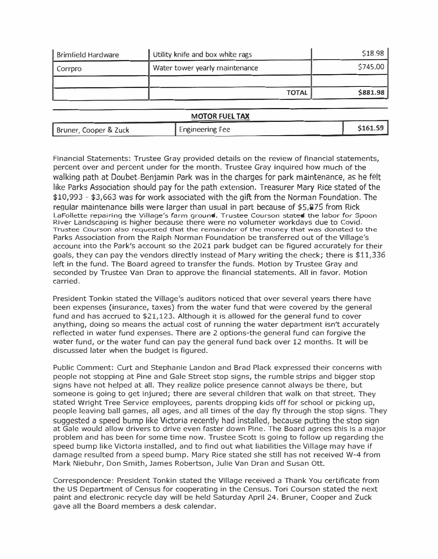| <b>Brimfield Hardware</b> | Utility knife and box white rags | \$18.98  |
|---------------------------|----------------------------------|----------|
| Corroro                   | Water tower yearly maintenance   | \$745.00 |
|                           | <b>TOTAL</b>                     | \$881.98 |

**MOTOR FUEL TAX** 

| <b>Engineering Fee</b><br>Bruner, Cooper & Zuck | \$161.59 |
|-------------------------------------------------|----------|
|-------------------------------------------------|----------|

**Financial Statements: Trustee Gray provided details on the review of financial statements, percent over and percent under for the month. Trustee Gray inquired how much of the**  walking path at Doubet-Benjamin Park was in the charges for park maintenance, as he felt like Parks Association should pay for the path extension. Treasurer Mary Rice stated of the \$10,993 - \$3,663 was for work associated with the gift from the Norman Foundation. The regular maintenance bills were larger than usual in part because of \$5,875 from Rick LaFollette repairing the Village's farm ground. Trustee Courson stated the labor for Spoon **River Landscaping is higher because there were no volumeter workdays due to Covid.**  Trustee Courson also requested that the remainder of the money that was donated to the Parks Association from the Ralph Norman Foundation be transferred out of the Village's **account into the Park's account so the 2021 park budget can be figured accurately for their goals, they can pay the vendors directly instead of Mary writing the check; there is \$11,336 left in the fund. The Board agreed to transfer the funds. Motion by Trustee Gray and seconded by Trustee Van Oran to approve the financial statements. All in favor. Motion carried.** 

**President Tonkin stated the Village's auditors noticed that over several years there have been expenses (insurance, taxes) from the water fund that were covered by the general fund and has accrued to \$21,123. Although it is allowed for the general fund to cover anything, doing so means the actual cost of running the water department isn't accurately reflected in water fund expenses. There are 2 options-the general fund can forgive the water fund, or the water fund can pay the general fund back over 12 months. It will be discussed later when the budget is figured.** 

**Public Comment: Curt and Stephanie Landon and Brad Plack expressed their concerns·with people not stopping at Pine and Gale Street stop signs, the rumble strips and bigger stop signs have not helped at all. They realize police presence cannot always be there, but someone is going to get injured; there are several children that walk on that street. They stated Wright Tree Service employees, parents dropping kids off for school or picking up, people leaving ball games, all ages, and all times of the day fly through the stop signs. They**  suggested a speed bump like Victoria recently had installed, because putting the stop sign **at Gale would allow drivers to drive even faster down Pine. The Board agrees this is a major problem and has been for some time now. Trustee Scott is going to follow up regarding the speed bump like Victoria installed, and to find out what liabilities the Village may have if damage resulted from a speed bump. Mary Rice stated she still has not received W-4 from Mark Niebuhr, Don Smith, James Robertson, Julie Van Oran and Susan Ott.** 

**Correspondence: President Tonkin stated the Village received a Thank You certificate from the US Department of Census for cooperating in the Census. Tori Courson stated the next paint and electronic recycle day will be held Saturday April 24. Bruner, Cooper and Zuck**  *gave* **all the Board members a desk calendar.**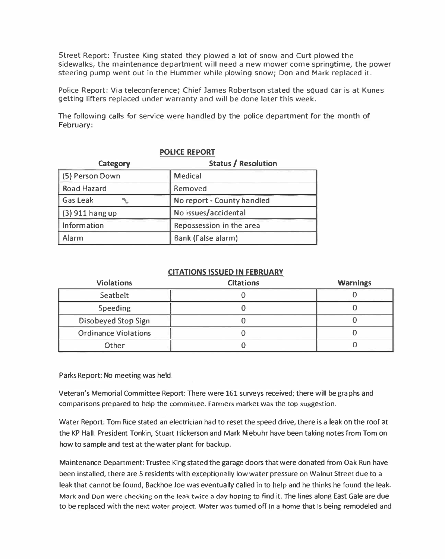Street Report: Trustee King stated they plowed a lot of snow and Curt plowed the sidewalks, the maintenance department will need a new mower come springtime, the power steering pump went out in the Hummer while plowing snow; Don and Mark replaced it.

Police Report: Via teleconference; Chief James Robertson stated the squad car is at Kunes getting lifters replaced under warranty and will be done later this week.

The following calls for service were handled by the police department for the month of February:

| $\sim$ bive in $\sim$ in $\sim$ |                            |  |  |  |
|---------------------------------|----------------------------|--|--|--|
| Category                        | <b>Status / Resolution</b> |  |  |  |
| (5) Person Down                 | Medical                    |  |  |  |
| Road Hazard                     | Removed                    |  |  |  |
| <b>Gas Leak</b>                 | No report - County handled |  |  |  |
| (3) 911 hang up                 | No issues/accidental       |  |  |  |
| Information                     | Repossession in the area   |  |  |  |
| Alarm                           | Bank (False alarm)         |  |  |  |

## **POLICE PEROPT**

## **CITATIONS ISSUED IN FEBRUARY**

| <b>Violations</b>           | <b>Citations</b> | <b>Warnings</b> |
|-----------------------------|------------------|-----------------|
| Seatbelt                    |                  |                 |
| Speeding                    |                  |                 |
| Disobeyed Stop Sign         |                  |                 |
| <b>Ordinance Violations</b> |                  |                 |
| Other                       |                  |                 |

Parks Report: No meeting was held.

Veteran's Memorial Committee Report: There were 161 surveys received; there will be graphs and comparisons prepared to help the committee. Farmers market was the top suggestion.

Water Report: Tom Rice stated an electrician had to reset the speed drive, there is a leak on the roof at the KP Hall. President Tonkin, Stuart Hickerson and Mark Niebuhr have been taking notes from Tom on how to sample and test at the water plant for backup.

Maintenance Department: Trustee King stated the garage doors that were donated from Oak Run have been installed, there are 5 residents with exceptionally low water pressure on Walnut Street due to a leak that cannot be found, Backhoe Joe was eventually called in to help and he thinks he found the leak. Mark and Don were checking on the leak twice a day hoping to find it. The lines along East Gale are due to be replaced with the next water project. Water was turned off in a home that is being remodeled and